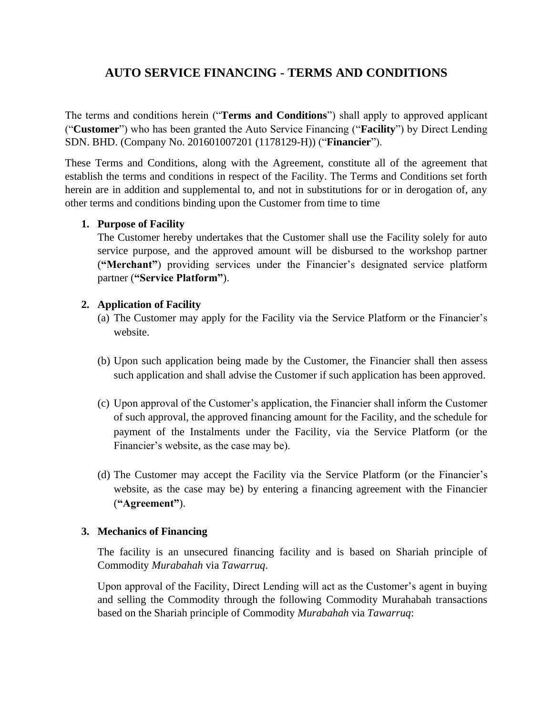# **AUTO SERVICE FINANCING - TERMS AND CONDITIONS**

The terms and conditions herein ("**Terms and Conditions**") shall apply to approved applicant ("**Customer**") who has been granted the Auto Service Financing ("**Facility**") by Direct Lending SDN. BHD. (Company No. 201601007201 (1178129-H)) ("**Financier**").

These Terms and Conditions, along with the Agreement, constitute all of the agreement that establish the terms and conditions in respect of the Facility. The Terms and Conditions set forth herein are in addition and supplemental to, and not in substitutions for or in derogation of, any other terms and conditions binding upon the Customer from time to time

## **1. Purpose of Facility**

The Customer hereby undertakes that the Customer shall use the Facility solely for auto service purpose, and the approved amount will be disbursed to the workshop partner (**"Merchant"**) providing services under the Financier's designated service platform partner (**"Service Platform"**).

## **2. Application of Facility**

- (a) The Customer may apply for the Facility via the Service Platform or the Financier's website.
- (b) Upon such application being made by the Customer, the Financier shall then assess such application and shall advise the Customer if such application has been approved.
- (c) Upon approval of the Customer's application, the Financier shall inform the Customer of such approval, the approved financing amount for the Facility, and the schedule for payment of the Instalments under the Facility, via the Service Platform (or the Financier's website, as the case may be).
- (d) The Customer may accept the Facility via the Service Platform (or the Financier's website, as the case may be) by entering a financing agreement with the Financier (**"Agreement"**).

# **3. Mechanics of Financing**

The facility is an unsecured financing facility and is based on Shariah principle of Commodity *Murabahah* via *Tawarruq*.

Upon approval of the Facility, Direct Lending will act as the Customer's agent in buying and selling the Commodity through the following Commodity Murahabah transactions based on the Shariah principle of Commodity *Murabahah* via *Tawarruq*: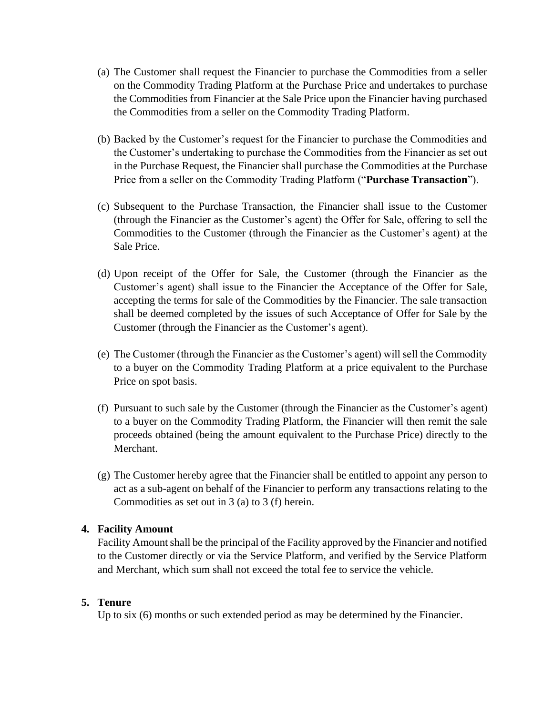- (a) The Customer shall request the Financier to purchase the Commodities from a seller on the Commodity Trading Platform at the Purchase Price and undertakes to purchase the Commodities from Financier at the Sale Price upon the Financier having purchased the Commodities from a seller on the Commodity Trading Platform.
- (b) Backed by the Customer's request for the Financier to purchase the Commodities and the Customer's undertaking to purchase the Commodities from the Financier as set out in the Purchase Request, the Financier shall purchase the Commodities at the Purchase Price from a seller on the Commodity Trading Platform ("**Purchase Transaction**").
- (c) Subsequent to the Purchase Transaction, the Financier shall issue to the Customer (through the Financier as the Customer's agent) the Offer for Sale, offering to sell the Commodities to the Customer (through the Financier as the Customer's agent) at the Sale Price.
- (d) Upon receipt of the Offer for Sale, the Customer (through the Financier as the Customer's agent) shall issue to the Financier the Acceptance of the Offer for Sale, accepting the terms for sale of the Commodities by the Financier. The sale transaction shall be deemed completed by the issues of such Acceptance of Offer for Sale by the Customer (through the Financier as the Customer's agent).
- (e) The Customer (through the Financier as the Customer's agent) will sell the Commodity to a buyer on the Commodity Trading Platform at a price equivalent to the Purchase Price on spot basis.
- (f) Pursuant to such sale by the Customer (through the Financier as the Customer's agent) to a buyer on the Commodity Trading Platform, the Financier will then remit the sale proceeds obtained (being the amount equivalent to the Purchase Price) directly to the Merchant.
- (g) The Customer hereby agree that the Financier shall be entitled to appoint any person to act as a sub-agent on behalf of the Financier to perform any transactions relating to the Commodities as set out in 3 (a) to 3 (f) herein.

# **4. Facility Amount**

Facility Amount shall be the principal of the Facility approved by the Financier and notified to the Customer directly or via the Service Platform, and verified by the Service Platform and Merchant, which sum shall not exceed the total fee to service the vehicle.

#### **5. Tenure**

Up to six (6) months or such extended period as may be determined by the Financier.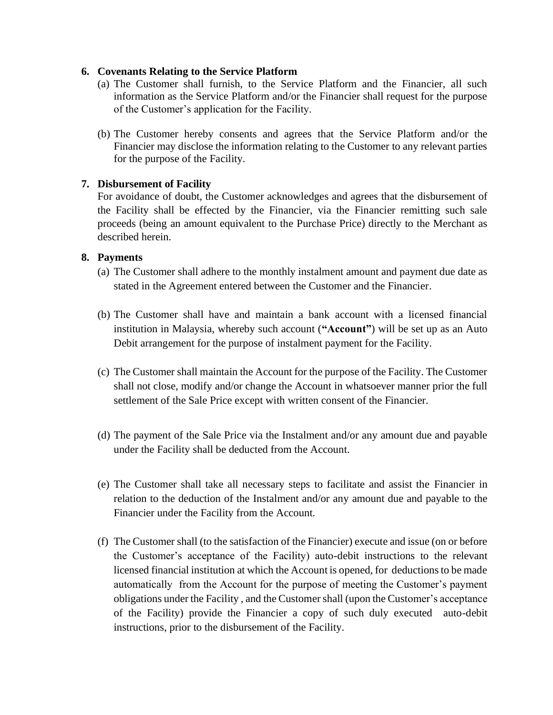## **6. Covenants Relating to the Service Platform**

- (a) The Customer shall furnish, to the Service Platform and the Financier, all such information as the Service Platform and/or the Financier shall request for the purpose of the Customer's application for the Facility.
- (b) The Customer hereby consents and agrees that the Service Platform and/or the Financier may disclose the information relating to the Customer to any relevant parties for the purpose of the Facility.

## **7. Disbursement of Facility**

For avoidance of doubt, the Customer acknowledges and agrees that the disbursement of the Facility shall be effected by the Financier, via the Financier remitting such sale proceeds (being an amount equivalent to the Purchase Price) directly to the Merchant as described herein.

#### **8. Payments**

- (a) The Customer shall adhere to the monthly instalment amount and payment due date as stated in the Agreement entered between the Customer and the Financier.
- (b) The Customer shall have and maintain a bank account with a licensed financial institution in Malaysia, whereby such account (**"Account"**) will be set up as an Auto Debit arrangement for the purpose of instalment payment for the Facility.
- (c) The Customer shall maintain the Account for the purpose of the Facility. The Customer shall not close, modify and/or change the Account in whatsoever manner prior the full settlement of the Sale Price except with written consent of the Financier.
- (d) The payment of the Sale Price via the Instalment and/or any amount due and payable under the Facility shall be deducted from the Account.
- (e) The Customer shall take all necessary steps to facilitate and assist the Financier in relation to the deduction of the Instalment and/or any amount due and payable to the Financier under the Facility from the Account.
- (f) The Customer shall (to the satisfaction of the Financier) execute and issue (on or before the Customer's acceptance of the Facility) auto-debit instructions to the relevant licensed financial institution at which the Account is opened, for deductions to be made automatically from the Account for the purpose of meeting the Customer's payment obligations under the Facility , and the Customer shall (upon the Customer's acceptance of the Facility) provide the Financier a copy of such duly executed auto-debit instructions, prior to the disbursement of the Facility.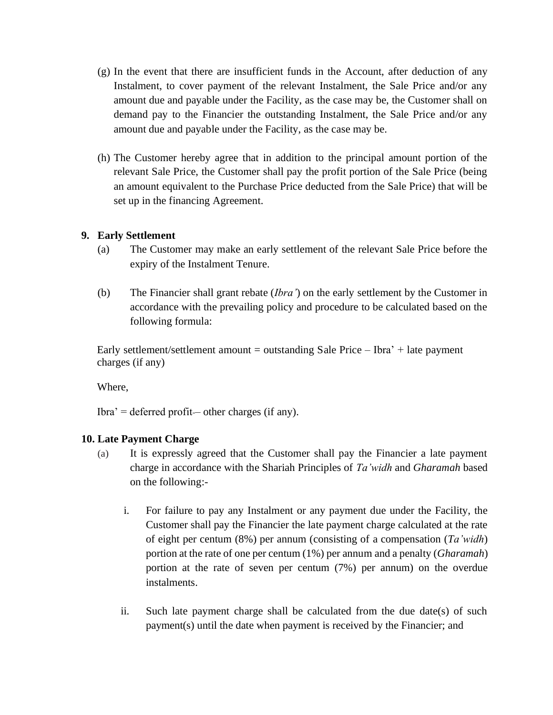- (g) In the event that there are insufficient funds in the Account, after deduction of any Instalment, to cover payment of the relevant Instalment, the Sale Price and/or any amount due and payable under the Facility, as the case may be, the Customer shall on demand pay to the Financier the outstanding Instalment, the Sale Price and/or any amount due and payable under the Facility, as the case may be.
- (h) The Customer hereby agree that in addition to the principal amount portion of the relevant Sale Price, the Customer shall pay the profit portion of the Sale Price (being an amount equivalent to the Purchase Price deducted from the Sale Price) that will be set up in the financing Agreement.

## **9. Early Settlement**

- (a) The Customer may make an early settlement of the relevant Sale Price before the expiry of the Instalment Tenure.
- (b) The Financier shall grant rebate (*Ibra'*) on the early settlement by the Customer in accordance with the prevailing policy and procedure to be calculated based on the following formula:

Early settlement/settlement amount = outstanding Sale Price – Ibra' + late payment charges (if any)

Where,

 $Ibra' =$  deferred profit— other charges (if any).

# **10. Late Payment Charge**

- (a) It is expressly agreed that the Customer shall pay the Financier a late payment charge in accordance with the Shariah Principles of *Ta'widh* and *Gharamah* based on the following:
	- i. For failure to pay any Instalment or any payment due under the Facility, the Customer shall pay the Financier the late payment charge calculated at the rate of eight per centum (8%) per annum (consisting of a compensation (*Ta'widh*) portion at the rate of one per centum (1%) per annum and a penalty (*Gharamah*) portion at the rate of seven per centum (7%) per annum) on the overdue instalments.
	- ii. Such late payment charge shall be calculated from the due date(s) of such payment(s) until the date when payment is received by the Financier; and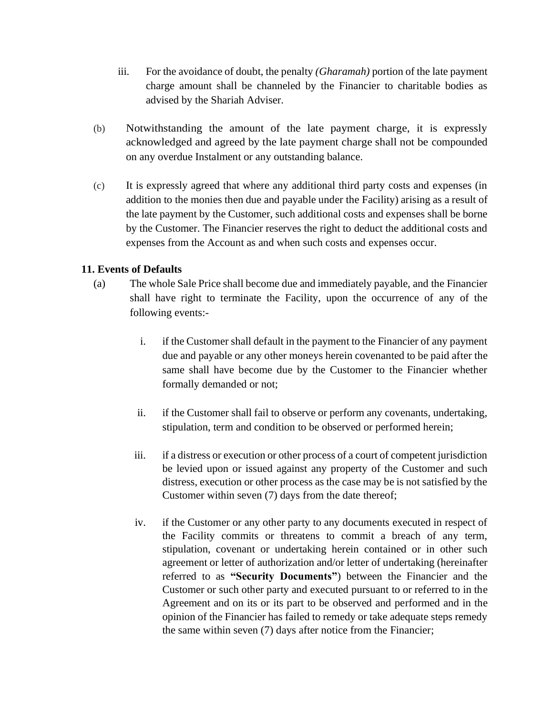- iii. For the avoidance of doubt, the penalty *(Gharamah)* portion of the late payment charge amount shall be channeled by the Financier to charitable bodies as advised by the Shariah Adviser.
- (b) Notwithstanding the amount of the late payment charge, it is expressly acknowledged and agreed by the late payment charge shall not be compounded on any overdue Instalment or any outstanding balance.
- (c) It is expressly agreed that where any additional third party costs and expenses (in addition to the monies then due and payable under the Facility) arising as a result of the late payment by the Customer, such additional costs and expenses shall be borne by the Customer. The Financier reserves the right to deduct the additional costs and expenses from the Account as and when such costs and expenses occur.

# **11. Events of Defaults**

- (a) The whole Sale Price shall become due and immediately payable, and the Financier shall have right to terminate the Facility, upon the occurrence of any of the following events:
	- i. if the Customer shall default in the payment to the Financier of any payment due and payable or any other moneys herein covenanted to be paid after the same shall have become due by the Customer to the Financier whether formally demanded or not;
	- ii. if the Customer shall fail to observe or perform any covenants, undertaking, stipulation, term and condition to be observed or performed herein;
	- iii. if a distress or execution or other process of a court of competent jurisdiction be levied upon or issued against any property of the Customer and such distress, execution or other process as the case may be is not satisfied by the Customer within seven (7) days from the date thereof;
	- iv. if the Customer or any other party to any documents executed in respect of the Facility commits or threatens to commit a breach of any term, stipulation, covenant or undertaking herein contained or in other such agreement or letter of authorization and/or letter of undertaking (hereinafter referred to as **"Security Documents"**) between the Financier and the Customer or such other party and executed pursuant to or referred to in the Agreement and on its or its part to be observed and performed and in the opinion of the Financier has failed to remedy or take adequate steps remedy the same within seven (7) days after notice from the Financier;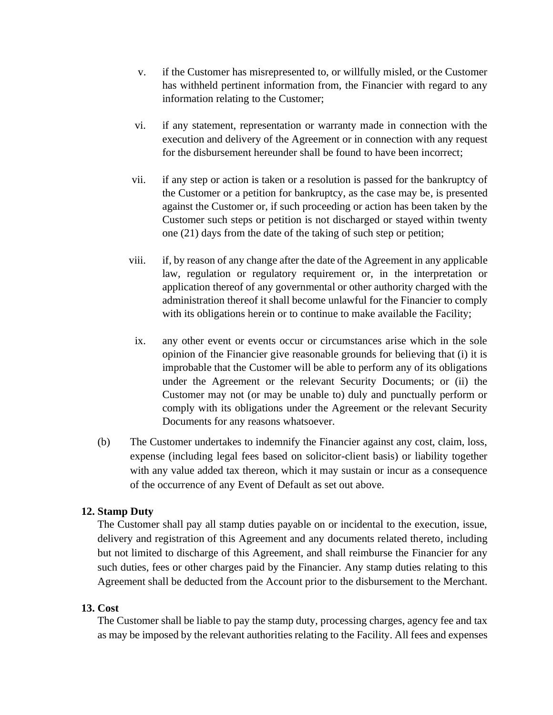- v. if the Customer has misrepresented to, or willfully misled, or the Customer has withheld pertinent information from, the Financier with regard to any information relating to the Customer;
- vi. if any statement, representation or warranty made in connection with the execution and delivery of the Agreement or in connection with any request for the disbursement hereunder shall be found to have been incorrect;
- vii. if any step or action is taken or a resolution is passed for the bankruptcy of the Customer or a petition for bankruptcy, as the case may be, is presented against the Customer or, if such proceeding or action has been taken by the Customer such steps or petition is not discharged or stayed within twenty one (21) days from the date of the taking of such step or petition;
- viii. if, by reason of any change after the date of the Agreement in any applicable law, regulation or regulatory requirement or, in the interpretation or application thereof of any governmental or other authority charged with the administration thereof it shall become unlawful for the Financier to comply with its obligations herein or to continue to make available the Facility;
- ix. any other event or events occur or circumstances arise which in the sole opinion of the Financier give reasonable grounds for believing that (i) it is improbable that the Customer will be able to perform any of its obligations under the Agreement or the relevant Security Documents; or (ii) the Customer may not (or may be unable to) duly and punctually perform or comply with its obligations under the Agreement or the relevant Security Documents for any reasons whatsoever.
- (b) The Customer undertakes to indemnify the Financier against any cost, claim, loss, expense (including legal fees based on solicitor-client basis) or liability together with any value added tax thereon, which it may sustain or incur as a consequence of the occurrence of any Event of Default as set out above.

# **12. Stamp Duty**

The Customer shall pay all stamp duties payable on or incidental to the execution, issue, delivery and registration of this Agreement and any documents related thereto, including but not limited to discharge of this Agreement, and shall reimburse the Financier for any such duties, fees or other charges paid by the Financier. Any stamp duties relating to this Agreement shall be deducted from the Account prior to the disbursement to the Merchant.

# **13. Cost**

The Customer shall be liable to pay the stamp duty, processing charges, agency fee and tax as may be imposed by the relevant authorities relating to the Facility. All fees and expenses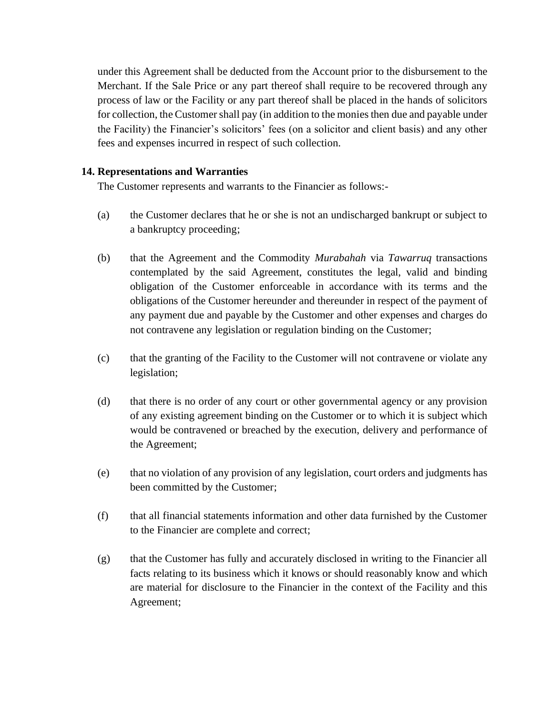under this Agreement shall be deducted from the Account prior to the disbursement to the Merchant. If the Sale Price or any part thereof shall require to be recovered through any process of law or the Facility or any part thereof shall be placed in the hands of solicitors for collection, the Customer shall pay (in addition to the monies then due and payable under the Facility) the Financier's solicitors' fees (on a solicitor and client basis) and any other fees and expenses incurred in respect of such collection.

#### **14. Representations and Warranties**

The Customer represents and warrants to the Financier as follows:-

- (a) the Customer declares that he or she is not an undischarged bankrupt or subject to a bankruptcy proceeding;
- (b) that the Agreement and the Commodity *Murabahah* via *Tawarruq* transactions contemplated by the said Agreement, constitutes the legal, valid and binding obligation of the Customer enforceable in accordance with its terms and the obligations of the Customer hereunder and thereunder in respect of the payment of any payment due and payable by the Customer and other expenses and charges do not contravene any legislation or regulation binding on the Customer;
- (c) that the granting of the Facility to the Customer will not contravene or violate any legislation;
- (d) that there is no order of any court or other governmental agency or any provision of any existing agreement binding on the Customer or to which it is subject which would be contravened or breached by the execution, delivery and performance of the Agreement;
- (e) that no violation of any provision of any legislation, court orders and judgments has been committed by the Customer;
- (f) that all financial statements information and other data furnished by the Customer to the Financier are complete and correct;
- (g) that the Customer has fully and accurately disclosed in writing to the Financier all facts relating to its business which it knows or should reasonably know and which are material for disclosure to the Financier in the context of the Facility and this Agreement;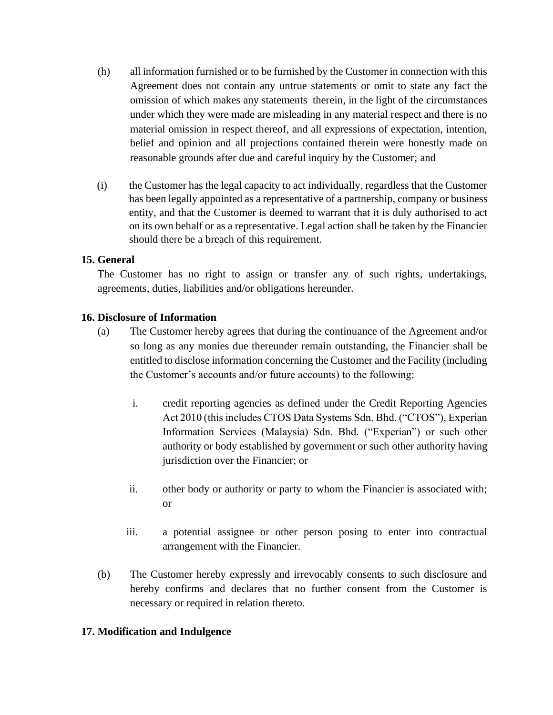- (h) all information furnished or to be furnished by the Customer in connection with this Agreement does not contain any untrue statements or omit to state any fact the omission of which makes any statements therein, in the light of the circumstances under which they were made are misleading in any material respect and there is no material omission in respect thereof, and all expressions of expectation, intention, belief and opinion and all projections contained therein were honestly made on reasonable grounds after due and careful inquiry by the Customer; and
- (i) the Customer has the legal capacity to act individually, regardless that the Customer has been legally appointed as a representative of a partnership, company or business entity, and that the Customer is deemed to warrant that it is duly authorised to act on its own behalf or as a representative. Legal action shall be taken by the Financier should there be a breach of this requirement.

## **15. General**

The Customer has no right to assign or transfer any of such rights, undertakings, agreements, duties, liabilities and/or obligations hereunder.

## **16. Disclosure of Information**

- (a) The Customer hereby agrees that during the continuance of the Agreement and/or so long as any monies due thereunder remain outstanding, the Financier shall be entitled to disclose information concerning the Customer and the Facility (including the Customer's accounts and/or future accounts) to the following:
	- i. credit reporting agencies as defined under the Credit Reporting Agencies Act 2010 (this includes CTOS Data Systems Sdn. Bhd. ("CTOS"), Experian Information Services (Malaysia) Sdn. Bhd. ("Experian") or such other authority or body established by government or such other authority having jurisdiction over the Financier; or
	- ii. other body or authority or party to whom the Financier is associated with; or
	- iii. a potential assignee or other person posing to enter into contractual arrangement with the Financier.
- (b) The Customer hereby expressly and irrevocably consents to such disclosure and hereby confirms and declares that no further consent from the Customer is necessary or required in relation thereto.

#### **17. Modification and Indulgence**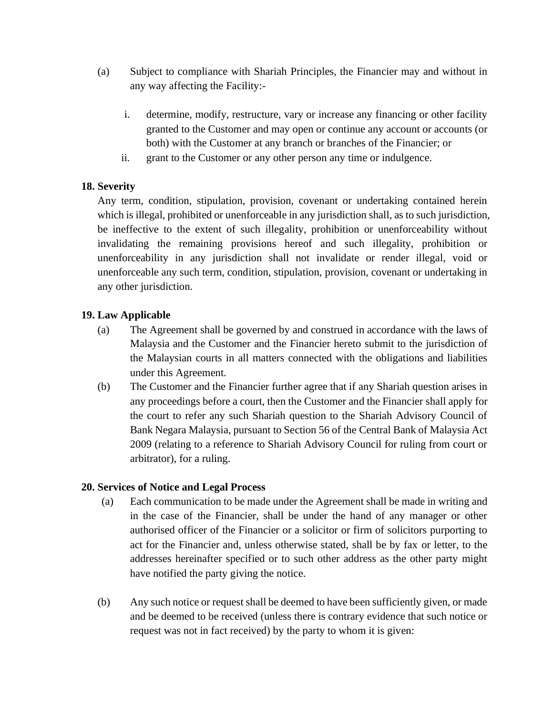- (a) Subject to compliance with Shariah Principles, the Financier may and without in any way affecting the Facility:
	- i. determine, modify, restructure, vary or increase any financing or other facility granted to the Customer and may open or continue any account or accounts (or both) with the Customer at any branch or branches of the Financier; or
	- ii. grant to the Customer or any other person any time or indulgence.

# **18. Severity**

Any term, condition, stipulation, provision, covenant or undertaking contained herein which is illegal, prohibited or unenforceable in any jurisdiction shall, as to such jurisdiction, be ineffective to the extent of such illegality, prohibition or unenforceability without invalidating the remaining provisions hereof and such illegality, prohibition or unenforceability in any jurisdiction shall not invalidate or render illegal, void or unenforceable any such term, condition, stipulation, provision, covenant or undertaking in any other jurisdiction.

# **19. Law Applicable**

- (a) The Agreement shall be governed by and construed in accordance with the laws of Malaysia and the Customer and the Financier hereto submit to the jurisdiction of the Malaysian courts in all matters connected with the obligations and liabilities under this Agreement.
- (b) The Customer and the Financier further agree that if any Shariah question arises in any proceedings before a court, then the Customer and the Financier shall apply for the court to refer any such Shariah question to the Shariah Advisory Council of Bank Negara Malaysia, pursuant to Section 56 of the Central Bank of Malaysia Act 2009 (relating to a reference to Shariah Advisory Council for ruling from court or arbitrator), for a ruling.

# **20. Services of Notice and Legal Process**

- (a) Each communication to be made under the Agreement shall be made in writing and in the case of the Financier, shall be under the hand of any manager or other authorised officer of the Financier or a solicitor or firm of solicitors purporting to act for the Financier and, unless otherwise stated, shall be by fax or letter, to the addresses hereinafter specified or to such other address as the other party might have notified the party giving the notice.
- (b) Any such notice or request shall be deemed to have been sufficiently given, or made and be deemed to be received (unless there is contrary evidence that such notice or request was not in fact received) by the party to whom it is given: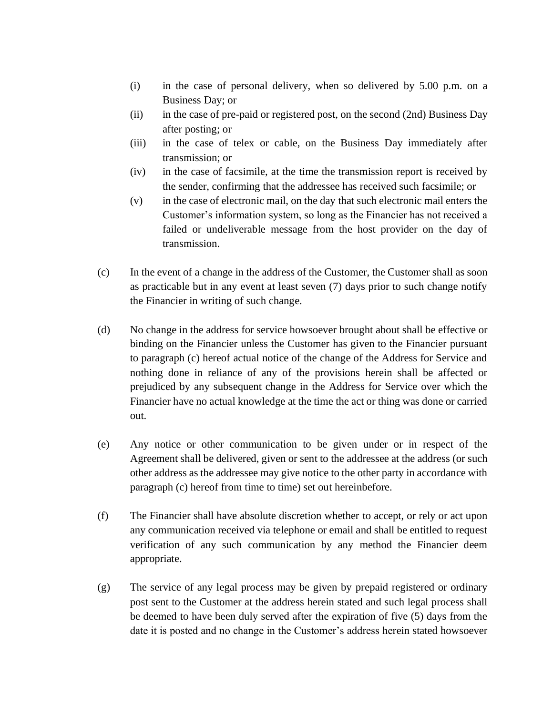- (i) in the case of personal delivery, when so delivered by 5.00 p.m. on a Business Day; or
- (ii) in the case of pre-paid or registered post, on the second (2nd) Business Day after posting; or
- (iii) in the case of telex or cable, on the Business Day immediately after transmission; or
- (iv) in the case of facsimile, at the time the transmission report is received by the sender, confirming that the addressee has received such facsimile; or
- (v) in the case of electronic mail, on the day that such electronic mail enters the Customer's information system, so long as the Financier has not received a failed or undeliverable message from the host provider on the day of transmission.
- (c) In the event of a change in the address of the Customer, the Customer shall as soon as practicable but in any event at least seven (7) days prior to such change notify the Financier in writing of such change.
- (d) No change in the address for service howsoever brought about shall be effective or binding on the Financier unless the Customer has given to the Financier pursuant to paragraph (c) hereof actual notice of the change of the Address for Service and nothing done in reliance of any of the provisions herein shall be affected or prejudiced by any subsequent change in the Address for Service over which the Financier have no actual knowledge at the time the act or thing was done or carried out.
- (e) Any notice or other communication to be given under or in respect of the Agreement shall be delivered, given or sent to the addressee at the address (or such other address as the addressee may give notice to the other party in accordance with paragraph (c) hereof from time to time) set out hereinbefore.
- (f) The Financier shall have absolute discretion whether to accept, or rely or act upon any communication received via telephone or email and shall be entitled to request verification of any such communication by any method the Financier deem appropriate.
- (g) The service of any legal process may be given by prepaid registered or ordinary post sent to the Customer at the address herein stated and such legal process shall be deemed to have been duly served after the expiration of five (5) days from the date it is posted and no change in the Customer's address herein stated howsoever